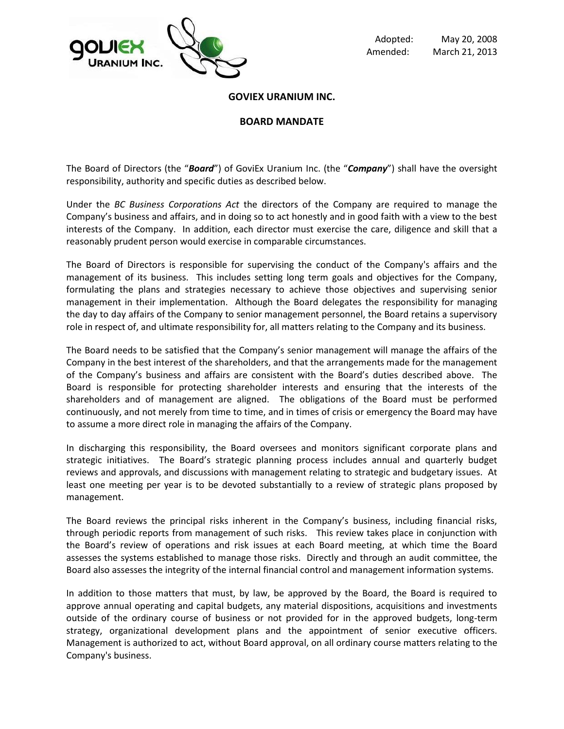

Adopted: May 20, 2008 Amended: March 21, 2013

### **GOVIEX URANIUM INC.**

### **BOARD MANDATE**

The Board of Directors (the "*Board*") of GoviEx Uranium Inc. (the "*Company*") shall have the oversight responsibility, authority and specific duties as described below.

Under the *BC Business Corporations Act* the directors of the Company are required to manage the Company's business and affairs, and in doing so to act honestly and in good faith with a view to the best interests of the Company. In addition, each director must exercise the care, diligence and skill that a reasonably prudent person would exercise in comparable circumstances.

The Board of Directors is responsible for supervising the conduct of the Company's affairs and the management of its business. This includes setting long term goals and objectives for the Company, formulating the plans and strategies necessary to achieve those objectives and supervising senior management in their implementation. Although the Board delegates the responsibility for managing the day to day affairs of the Company to senior management personnel, the Board retains a supervisory role in respect of, and ultimate responsibility for, all matters relating to the Company and its business.

The Board needs to be satisfied that the Company's senior management will manage the affairs of the Company in the best interest of the shareholders, and that the arrangements made for the management of the Company's business and affairs are consistent with the Board's duties described above. The Board is responsible for protecting shareholder interests and ensuring that the interests of the shareholders and of management are aligned. The obligations of the Board must be performed continuously, and not merely from time to time, and in times of crisis or emergency the Board may have to assume a more direct role in managing the affairs of the Company.

In discharging this responsibility, the Board oversees and monitors significant corporate plans and strategic initiatives. The Board's strategic planning process includes annual and quarterly budget reviews and approvals, and discussions with management relating to strategic and budgetary issues. At least one meeting per year is to be devoted substantially to a review of strategic plans proposed by management.

The Board reviews the principal risks inherent in the Company's business, including financial risks, through periodic reports from management of such risks. This review takes place in conjunction with the Board's review of operations and risk issues at each Board meeting, at which time the Board assesses the systems established to manage those risks. Directly and through an audit committee, the Board also assesses the integrity of the internal financial control and management information systems.

In addition to those matters that must, by law, be approved by the Board, the Board is required to approve annual operating and capital budgets, any material dispositions, acquisitions and investments outside of the ordinary course of business or not provided for in the approved budgets, long-term strategy, organizational development plans and the appointment of senior executive officers. Management is authorized to act, without Board approval, on all ordinary course matters relating to the Company's business.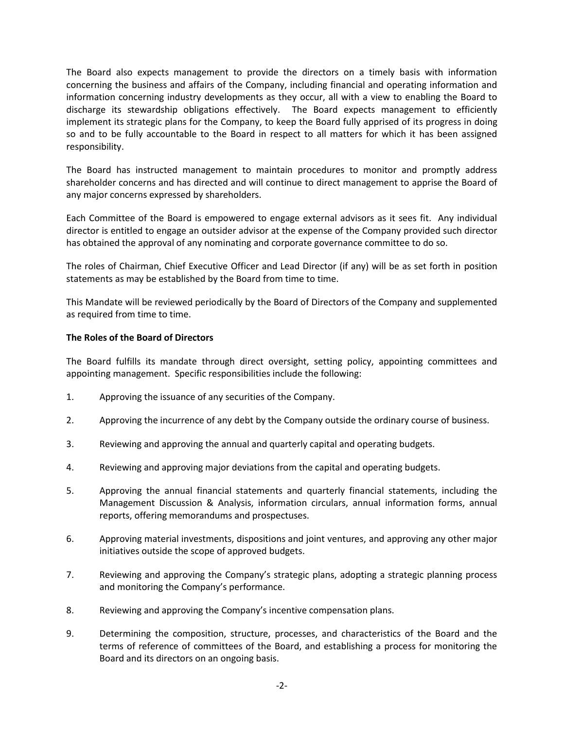The Board also expects management to provide the directors on a timely basis with information concerning the business and affairs of the Company, including financial and operating information and information concerning industry developments as they occur, all with a view to enabling the Board to discharge its stewardship obligations effectively. The Board expects management to efficiently implement its strategic plans for the Company, to keep the Board fully apprised of its progress in doing so and to be fully accountable to the Board in respect to all matters for which it has been assigned responsibility.

The Board has instructed management to maintain procedures to monitor and promptly address shareholder concerns and has directed and will continue to direct management to apprise the Board of any major concerns expressed by shareholders.

Each Committee of the Board is empowered to engage external advisors as it sees fit. Any individual director is entitled to engage an outsider advisor at the expense of the Company provided such director has obtained the approval of any nominating and corporate governance committee to do so.

The roles of Chairman, Chief Executive Officer and Lead Director (if any) will be as set forth in position statements as may be established by the Board from time to time.

This Mandate will be reviewed periodically by the Board of Directors of the Company and supplemented as required from time to time.

# **The Roles of the Board of Directors**

The Board fulfills its mandate through direct oversight, setting policy, appointing committees and appointing management. Specific responsibilities include the following:

- 1. Approving the issuance of any securities of the Company.
- 2. Approving the incurrence of any debt by the Company outside the ordinary course of business.
- 3. Reviewing and approving the annual and quarterly capital and operating budgets.
- 4. Reviewing and approving major deviations from the capital and operating budgets.
- 5. Approving the annual financial statements and quarterly financial statements, including the Management Discussion & Analysis, information circulars, annual information forms, annual reports, offering memorandums and prospectuses.
- 6. Approving material investments, dispositions and joint ventures, and approving any other major initiatives outside the scope of approved budgets.
- 7. Reviewing and approving the Company's strategic plans, adopting a strategic planning process and monitoring the Company's performance.
- 8. Reviewing and approving the Company's incentive compensation plans.
- 9. Determining the composition, structure, processes, and characteristics of the Board and the terms of reference of committees of the Board, and establishing a process for monitoring the Board and its directors on an ongoing basis.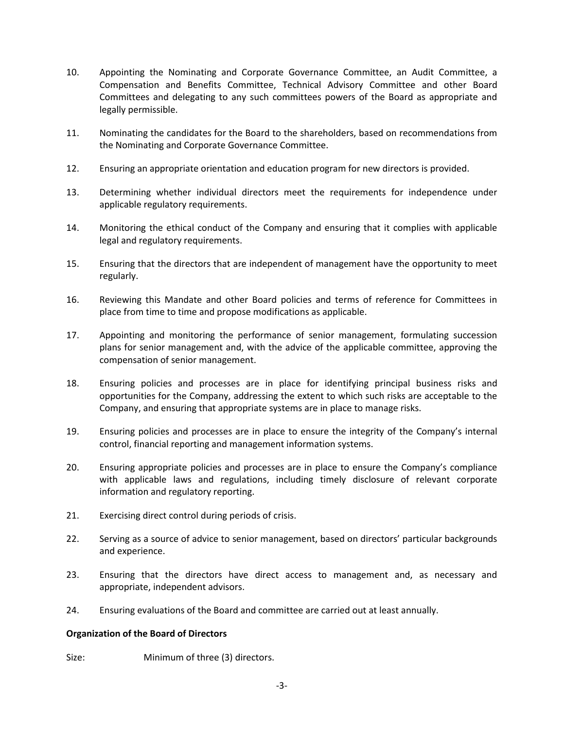- 10. Appointing the Nominating and Corporate Governance Committee, an Audit Committee, a Compensation and Benefits Committee, Technical Advisory Committee and other Board Committees and delegating to any such committees powers of the Board as appropriate and legally permissible.
- 11. Nominating the candidates for the Board to the shareholders, based on recommendations from the Nominating and Corporate Governance Committee.
- 12. Ensuring an appropriate orientation and education program for new directors is provided.
- 13. Determining whether individual directors meet the requirements for independence under applicable regulatory requirements.
- 14. Monitoring the ethical conduct of the Company and ensuring that it complies with applicable legal and regulatory requirements.
- 15. Ensuring that the directors that are independent of management have the opportunity to meet regularly.
- 16. Reviewing this Mandate and other Board policies and terms of reference for Committees in place from time to time and propose modifications as applicable.
- 17. Appointing and monitoring the performance of senior management, formulating succession plans for senior management and, with the advice of the applicable committee, approving the compensation of senior management.
- 18. Ensuring policies and processes are in place for identifying principal business risks and opportunities for the Company, addressing the extent to which such risks are acceptable to the Company, and ensuring that appropriate systems are in place to manage risks.
- 19. Ensuring policies and processes are in place to ensure the integrity of the Company's internal control, financial reporting and management information systems.
- 20. Ensuring appropriate policies and processes are in place to ensure the Company's compliance with applicable laws and regulations, including timely disclosure of relevant corporate information and regulatory reporting.
- 21. Exercising direct control during periods of crisis.
- 22. Serving as a source of advice to senior management, based on directors' particular backgrounds and experience.
- 23. Ensuring that the directors have direct access to management and, as necessary and appropriate, independent advisors.
- 24. Ensuring evaluations of the Board and committee are carried out at least annually.

# **Organization of the Board of Directors**

Size: Minimum of three (3) directors.